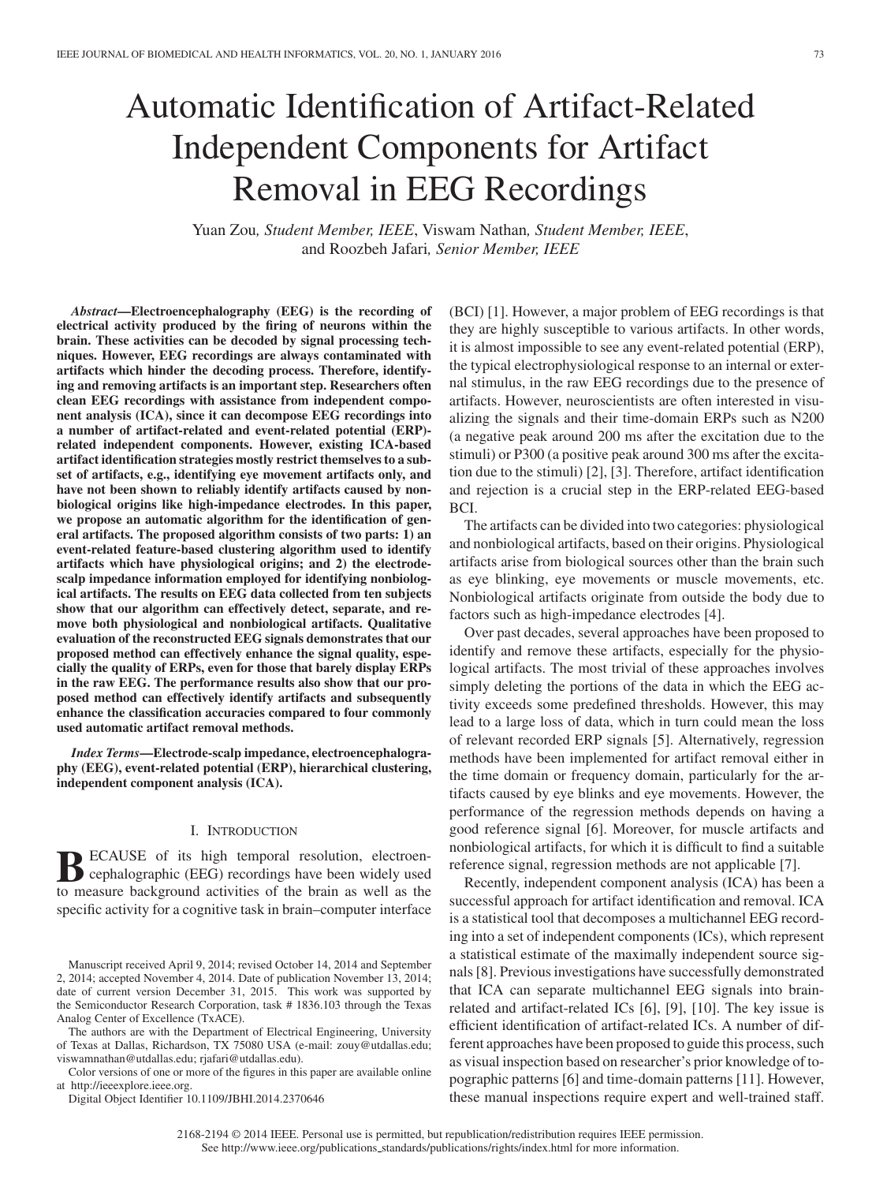# Automatic Identification of Artifact-Related Independent Components for Artifact Removal in EEG Recordings

Yuan Zou*, Student Member, IEEE*, Viswam Nathan*, Student Member, IEEE*, and Roozbeh Jafari*, Senior Member, IEEE*

*Abstract***—Electroencephalography (EEG) is the recording of electrical activity produced by the firing of neurons within the brain. These activities can be decoded by signal processing techniques. However, EEG recordings are always contaminated with artifacts which hinder the decoding process. Therefore, identifying and removing artifacts is an important step. Researchers often clean EEG recordings with assistance from independent component analysis (ICA), since it can decompose EEG recordings into a number of artifact-related and event-related potential (ERP) related independent components. However, existing ICA-based artifact identification strategies mostly restrict themselves to a subset of artifacts, e.g., identifying eye movement artifacts only, and have not been shown to reliably identify artifacts caused by nonbiological origins like high-impedance electrodes. In this paper, we propose an automatic algorithm for the identification of general artifacts. The proposed algorithm consists of two parts: 1) an event-related feature-based clustering algorithm used to identify artifacts which have physiological origins; and 2) the electrodescalp impedance information employed for identifying nonbiological artifacts. The results on EEG data collected from ten subjects show that our algorithm can effectively detect, separate, and remove both physiological and nonbiological artifacts. Qualitative evaluation of the reconstructed EEG signals demonstrates that our proposed method can effectively enhance the signal quality, especially the quality of ERPs, even for those that barely display ERPs in the raw EEG. The performance results also show that our proposed method can effectively identify artifacts and subsequently enhance the classification accuracies compared to four commonly used automatic artifact removal methods.**

*Index Terms***—Electrode-scalp impedance, electroencephalography (EEG), event-related potential (ERP), hierarchical clustering, independent component analysis (ICA).**

#### I. INTRODUCTION

**BECAUSE** of its high temporal resolution, electroen-<br>cephalographic (EEG) recordings have been widely used<br>to measure beekground estivities of the brain as well as the to measure background activities of the brain as well as the specific activity for a cognitive task in brain–computer interface

The authors are with the Department of Electrical Engineering, University of Texas at Dallas, Richardson, TX 75080 USA (e-mail: zouy@utdallas.edu; viswamnathan@utdallas.edu; rjafari@utdallas.edu).

Color versions of one or more of the figures in this paper are available online at http://ieeexplore.ieee.org.

Digital Object Identifier 10.1109/JBHI.2014.2370646

(BCI) [1]. However, a major problem of EEG recordings is that they are highly susceptible to various artifacts. In other words, it is almost impossible to see any event-related potential (ERP), the typical electrophysiological response to an internal or external stimulus, in the raw EEG recordings due to the presence of artifacts. However, neuroscientists are often interested in visualizing the signals and their time-domain ERPs such as N200 (a negative peak around 200 ms after the excitation due to the stimuli) or P300 (a positive peak around 300 ms after the excitation due to the stimuli) [2], [3]. Therefore, artifact identification and rejection is a crucial step in the ERP-related EEG-based BCI.

The artifacts can be divided into two categories: physiological and nonbiological artifacts, based on their origins. Physiological artifacts arise from biological sources other than the brain such as eye blinking, eye movements or muscle movements, etc. Nonbiological artifacts originate from outside the body due to factors such as high-impedance electrodes [4].

Over past decades, several approaches have been proposed to identify and remove these artifacts, especially for the physiological artifacts. The most trivial of these approaches involves simply deleting the portions of the data in which the EEG activity exceeds some predefined thresholds. However, this may lead to a large loss of data, which in turn could mean the loss of relevant recorded ERP signals [5]. Alternatively, regression methods have been implemented for artifact removal either in the time domain or frequency domain, particularly for the artifacts caused by eye blinks and eye movements. However, the performance of the regression methods depends on having a good reference signal [6]. Moreover, for muscle artifacts and nonbiological artifacts, for which it is difficult to find a suitable reference signal, regression methods are not applicable [7].

Recently, independent component analysis (ICA) has been a successful approach for artifact identification and removal. ICA is a statistical tool that decomposes a multichannel EEG recording into a set of independent components (ICs), which represent a statistical estimate of the maximally independent source signals [8]. Previous investigations have successfully demonstrated that ICA can separate multichannel EEG signals into brainrelated and artifact-related ICs [6], [9], [10]. The key issue is efficient identification of artifact-related ICs. A number of different approaches have been proposed to guide this process, such as visual inspection based on researcher's prior knowledge of topographic patterns [6] and time-domain patterns [11]. However, these manual inspections require expert and well-trained staff.

Manuscript received April 9, 2014; revised October 14, 2014 and September 2, 2014; accepted November 4, 2014. Date of publication November 13, 2014; date of current version December 31, 2015. This work was supported by the Semiconductor Research Corporation, task # 1836.103 through the Texas Analog Center of Excellence (TxACE).

<sup>2168-2194 © 2014</sup> IEEE. Personal use is permitted, but republication/redistribution requires IEEE permission. See http://www.ieee.org/publications\_standards/publications/rights/index.html for more information.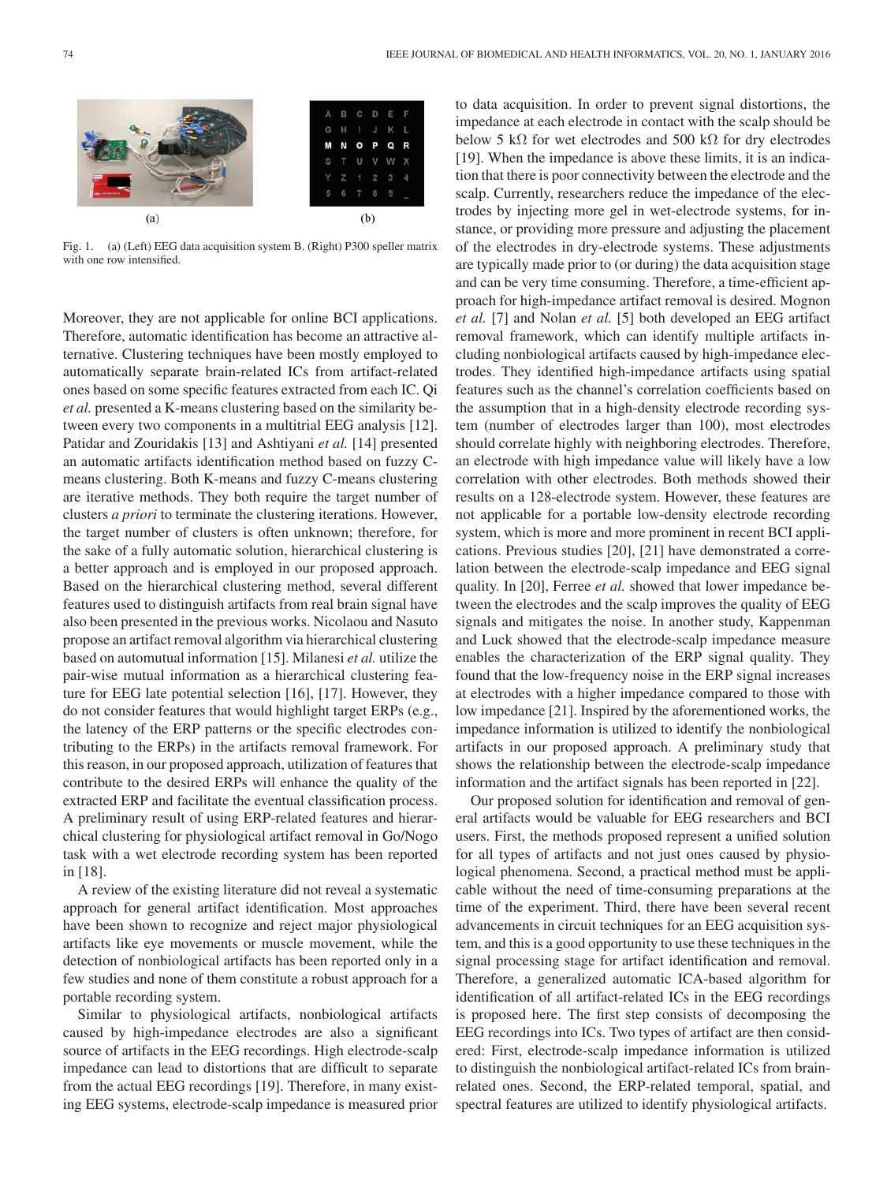

Fig. 1. (a) (Left) EEG data acquisition system B. (Right) P300 speller matrix with one row intensified.

Moreover, they are not applicable for online BCI applications. Therefore, automatic identification has become an attractive alternative. Clustering techniques have been mostly employed to automatically separate brain-related ICs from artifact-related ones based on some specific features extracted from each IC. Qi *et al.* presented a K-means clustering based on the similarity between every two components in a multitrial EEG analysis [12]. Patidar and Zouridakis [13] and Ashtiyani *et al.* [14] presented an automatic artifacts identification method based on fuzzy Cmeans clustering. Both K-means and fuzzy C-means clustering are iterative methods. They both require the target number of clusters *a priori* to terminate the clustering iterations. However, the target number of clusters is often unknown; therefore, for the sake of a fully automatic solution, hierarchical clustering is a better approach and is employed in our proposed approach. Based on the hierarchical clustering method, several different features used to distinguish artifacts from real brain signal have also been presented in the previous works. Nicolaou and Nasuto propose an artifact removal algorithm via hierarchical clustering based on automutual information [15]. Milanesi *et al.* utilize the pair-wise mutual information as a hierarchical clustering feature for EEG late potential selection [16], [17]. However, they do not consider features that would highlight target ERPs (e.g., the latency of the ERP patterns or the specific electrodes contributing to the ERPs) in the artifacts removal framework. For this reason, in our proposed approach, utilization of features that contribute to the desired ERPs will enhance the quality of the extracted ERP and facilitate the eventual classification process. A preliminary result of using ERP-related features and hierarchical clustering for physiological artifact removal in Go/Nogo task with a wet electrode recording system has been reported in [18].

A review of the existing literature did not reveal a systematic approach for general artifact identification. Most approaches have been shown to recognize and reject major physiological artifacts like eye movements or muscle movement, while the detection of nonbiological artifacts has been reported only in a few studies and none of them constitute a robust approach for a portable recording system.

Similar to physiological artifacts, nonbiological artifacts caused by high-impedance electrodes are also a significant source of artifacts in the EEG recordings. High electrode-scalp impedance can lead to distortions that are difficult to separate from the actual EEG recordings [19]. Therefore, in many existing EEG systems, electrode-scalp impedance is measured prior to data acquisition. In order to prevent signal distortions, the impedance at each electrode in contact with the scalp should be below 5 kΩ for wet electrodes and 500 kΩ for dry electrodes [19]. When the impedance is above these limits, it is an indication that there is poor connectivity between the electrode and the scalp. Currently, researchers reduce the impedance of the electrodes by injecting more gel in wet-electrode systems, for instance, or providing more pressure and adjusting the placement of the electrodes in dry-electrode systems. These adjustments are typically made prior to (or during) the data acquisition stage and can be very time consuming. Therefore, a time-efficient approach for high-impedance artifact removal is desired. Mognon *et al.* [7] and Nolan *et al.* [5] both developed an EEG artifact removal framework, which can identify multiple artifacts including nonbiological artifacts caused by high-impedance electrodes. They identified high-impedance artifacts using spatial features such as the channel's correlation coefficients based on the assumption that in a high-density electrode recording system (number of electrodes larger than 100), most electrodes should correlate highly with neighboring electrodes. Therefore, an electrode with high impedance value will likely have a low correlation with other electrodes. Both methods showed their results on a 128-electrode system. However, these features are not applicable for a portable low-density electrode recording system, which is more and more prominent in recent BCI applications. Previous studies [20], [21] have demonstrated a correlation between the electrode-scalp impedance and EEG signal quality. In [20], Ferree *et al.* showed that lower impedance between the electrodes and the scalp improves the quality of EEG signals and mitigates the noise. In another study, Kappenman and Luck showed that the electrode-scalp impedance measure enables the characterization of the ERP signal quality. They found that the low-frequency noise in the ERP signal increases at electrodes with a higher impedance compared to those with low impedance [21]. Inspired by the aforementioned works, the impedance information is utilized to identify the nonbiological artifacts in our proposed approach. A preliminary study that shows the relationship between the electrode-scalp impedance information and the artifact signals has been reported in [22].

Our proposed solution for identification and removal of general artifacts would be valuable for EEG researchers and BCI users. First, the methods proposed represent a unified solution for all types of artifacts and not just ones caused by physiological phenomena. Second, a practical method must be applicable without the need of time-consuming preparations at the time of the experiment. Third, there have been several recent advancements in circuit techniques for an EEG acquisition system, and this is a good opportunity to use these techniques in the signal processing stage for artifact identification and removal. Therefore, a generalized automatic ICA-based algorithm for identification of all artifact-related ICs in the EEG recordings is proposed here. The first step consists of decomposing the EEG recordings into ICs. Two types of artifact are then considered: First, electrode-scalp impedance information is utilized to distinguish the nonbiological artifact-related ICs from brainrelated ones. Second, the ERP-related temporal, spatial, and spectral features are utilized to identify physiological artifacts.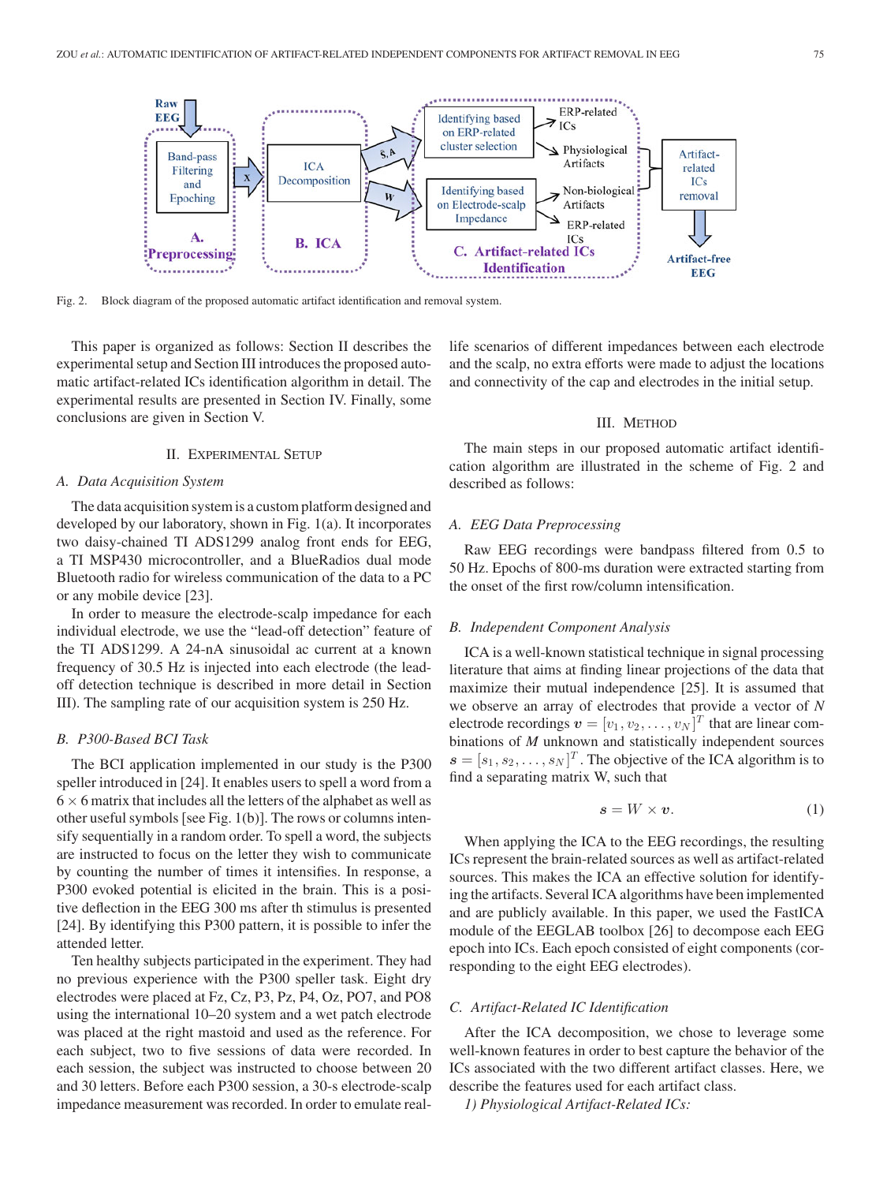

Fig. 2. Block diagram of the proposed automatic artifact identification and removal system.

This paper is organized as follows: Section II describes the experimental setup and Section III introduces the proposed automatic artifact-related ICs identification algorithm in detail. The experimental results are presented in Section IV. Finally, some conclusions are given in Section V.

# II. EXPERIMENTAL SETUP

#### *A. Data Acquisition System*

The data acquisition system is a custom platform designed and developed by our laboratory, shown in Fig. 1(a). It incorporates two daisy-chained TI ADS1299 analog front ends for EEG, a TI MSP430 microcontroller, and a BlueRadios dual mode Bluetooth radio for wireless communication of the data to a PC or any mobile device [23].

In order to measure the electrode-scalp impedance for each individual electrode, we use the "lead-off detection" feature of the TI ADS1299. A 24-nA sinusoidal ac current at a known frequency of 30.5 Hz is injected into each electrode (the leadoff detection technique is described in more detail in Section III). The sampling rate of our acquisition system is 250 Hz.

# *B. P300-Based BCI Task*

The BCI application implemented in our study is the P300 speller introduced in [24]. It enables users to spell a word from a  $6 \times 6$  matrix that includes all the letters of the alphabet as well as other useful symbols [see Fig.  $1(b)$ ]. The rows or columns intensify sequentially in a random order. To spell a word, the subjects are instructed to focus on the letter they wish to communicate by counting the number of times it intensifies. In response, a P300 evoked potential is elicited in the brain. This is a positive deflection in the EEG 300 ms after th stimulus is presented [24]. By identifying this P300 pattern, it is possible to infer the attended letter.

Ten healthy subjects participated in the experiment. They had no previous experience with the P300 speller task. Eight dry electrodes were placed at Fz, Cz, P3, Pz, P4, Oz, PO7, and PO8 using the international 10–20 system and a wet patch electrode was placed at the right mastoid and used as the reference. For each subject, two to five sessions of data were recorded. In each session, the subject was instructed to choose between 20 and 30 letters. Before each P300 session, a 30-s electrode-scalp impedance measurement was recorded. In order to emulate reallife scenarios of different impedances between each electrode and the scalp, no extra efforts were made to adjust the locations and connectivity of the cap and electrodes in the initial setup.

#### III. METHOD

The main steps in our proposed automatic artifact identification algorithm are illustrated in the scheme of Fig. 2 and described as follows:

# *A. EEG Data Preprocessing*

Raw EEG recordings were bandpass filtered from 0.5 to 50 Hz. Epochs of 800-ms duration were extracted starting from the onset of the first row/column intensification.

# *B. Independent Component Analysis*

ICA is a well-known statistical technique in signal processing literature that aims at finding linear projections of the data that maximize their mutual independence [25]. It is assumed that we observe an array of electrodes that provide a vector of *N* electrode recordings  $\boldsymbol{v} = [v_1, v_2, \dots, v_N]^T$  that are linear combinations of *M* unknown and statistically independent sources  $\mathbf{s} = [s_1, s_2, \dots, s_N]^T$ . The objective of the ICA algorithm is to find a separating matrix W, such that

$$
s = W \times v. \tag{1}
$$

When applying the ICA to the EEG recordings, the resulting ICs represent the brain-related sources as well as artifact-related sources. This makes the ICA an effective solution for identifying the artifacts. Several ICA algorithms have been implemented and are publicly available. In this paper, we used the FastICA module of the EEGLAB toolbox [26] to decompose each EEG epoch into ICs. Each epoch consisted of eight components (corresponding to the eight EEG electrodes).

## *C. Artifact-Related IC Identification*

After the ICA decomposition, we chose to leverage some well-known features in order to best capture the behavior of the ICs associated with the two different artifact classes. Here, we describe the features used for each artifact class.

*1) Physiological Artifact-Related ICs:*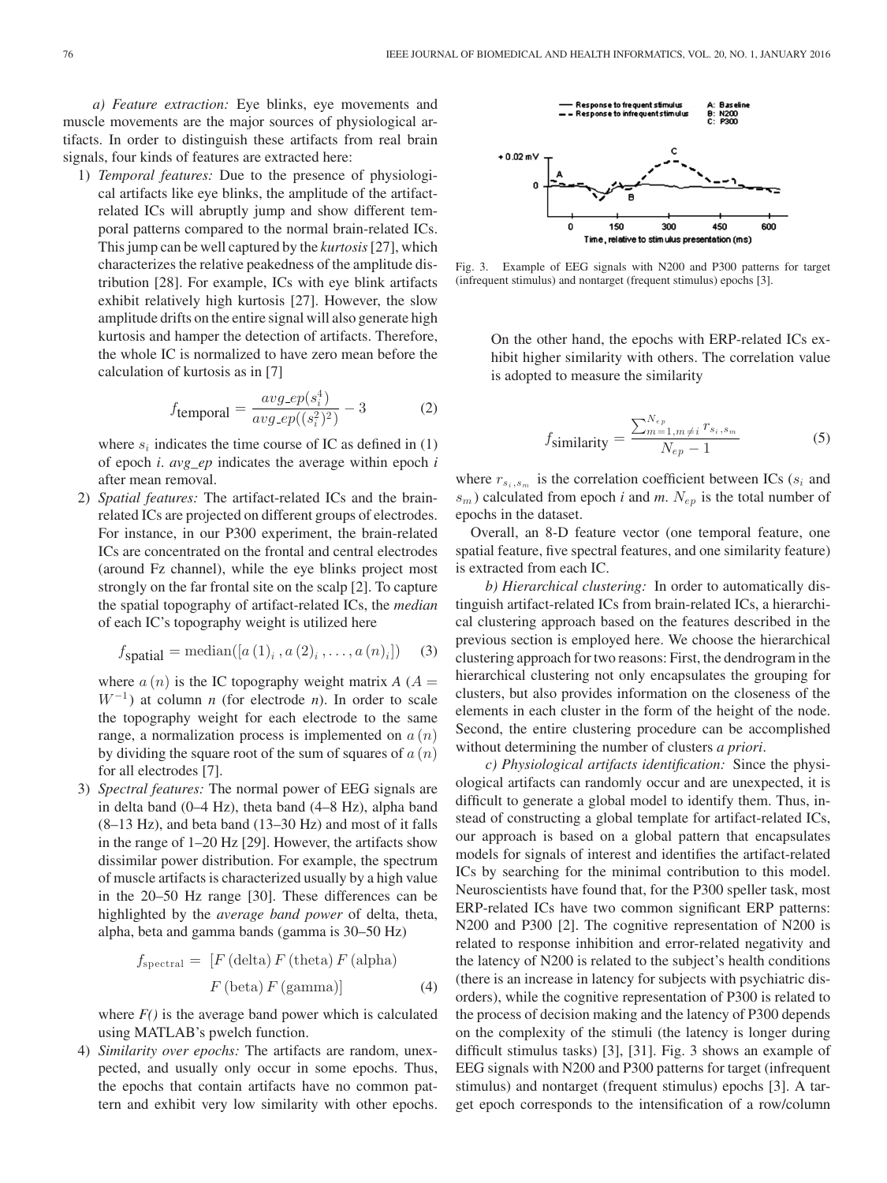*a) Feature extraction:* Eye blinks, eye movements and muscle movements are the major sources of physiological artifacts. In order to distinguish these artifacts from real brain signals, four kinds of features are extracted here:

1) *Temporal features:* Due to the presence of physiological artifacts like eye blinks, the amplitude of the artifactrelated ICs will abruptly jump and show different temporal patterns compared to the normal brain-related ICs. This jump can be well captured by the *kurtosis*[27], which characterizes the relative peakedness of the amplitude distribution [28]. For example, ICs with eye blink artifacts exhibit relatively high kurtosis [27]. However, the slow amplitude drifts on the entire signal will also generate high kurtosis and hamper the detection of artifacts. Therefore, the whole IC is normalized to have zero mean before the calculation of kurtosis as in [7]

$$
f_{\text{temporal}} = \frac{avg\_ep(s_i^4)}{avg\_ep((s_i^2)^2)} - 3 \tag{2}
$$

where  $s_i$  indicates the time course of IC as defined in (1) of epoch *i*. *avg\_ep* indicates the average within epoch *i* after mean removal.

2) *Spatial features:* The artifact-related ICs and the brainrelated ICs are projected on different groups of electrodes. For instance, in our P300 experiment, the brain-related ICs are concentrated on the frontal and central electrodes (around Fz channel), while the eye blinks project most strongly on the far frontal site on the scalp [2]. To capture the spatial topography of artifact-related ICs, the *median* of each IC's topography weight is utilized here

$$
f_{\text{spatial}} = \text{median}([a(1)_i, a(2)_i, \dots, a(n)_i]) \quad (3)
$$

where  $a(n)$  is the IC topography weight matrix  $A(A =$  $W^{-1}$ ) at column *n* (for electrode *n*). In order to scale the topography weight for each electrode to the same range, a normalization process is implemented on  $a(n)$ by dividing the square root of the sum of squares of  $a(n)$ for all electrodes [7].

3) *Spectral features:* The normal power of EEG signals are in delta band (0–4 Hz), theta band (4–8 Hz), alpha band (8–13 Hz), and beta band (13–30 Hz) and most of it falls in the range of 1–20 Hz [29]. However, the artifacts show dissimilar power distribution. For example, the spectrum of muscle artifacts is characterized usually by a high value in the 20–50 Hz range [30]. These differences can be highlighted by the *average band power* of delta, theta, alpha, beta and gamma bands (gamma is 30–50 Hz)

$$
f_{\text{spectral}} = [F (\text{delta}) F (\text{theta}) F (\text{alpha})
$$

$$
F (\text{beta}) F (\text{gamma})]
$$
(4)

where  $F()$  is the average band power which is calculated using MATLAB's pwelch function.

4) *Similarity over epochs:* The artifacts are random, unexpected, and usually only occur in some epochs. Thus, the epochs that contain artifacts have no common pattern and exhibit very low similarity with other epochs.



Fig. 3. Example of EEG signals with N200 and P300 patterns for target (infrequent stimulus) and nontarget (frequent stimulus) epochs [3].

On the other hand, the epochs with ERP-related ICs exhibit higher similarity with others. The correlation value is adopted to measure the similarity

$$
f_{\text{similarity}} = \frac{\sum_{m=1,m \neq i}^{N_{ep}} r_{s_i, s_m}}{N_{ep} - 1}
$$
 (5)

where  $r_{s_i,s_m}$  is the correlation coefficient between ICs ( $s_i$  and  $s_m$ ) calculated from epoch *i* and *m*.  $N_{ep}$  is the total number of epochs in the dataset.

Overall, an 8-D feature vector (one temporal feature, one spatial feature, five spectral features, and one similarity feature) is extracted from each IC.

*b) Hierarchical clustering:* In order to automatically distinguish artifact-related ICs from brain-related ICs, a hierarchical clustering approach based on the features described in the previous section is employed here. We choose the hierarchical clustering approach for two reasons: First, the dendrogram in the hierarchical clustering not only encapsulates the grouping for clusters, but also provides information on the closeness of the elements in each cluster in the form of the height of the node. Second, the entire clustering procedure can be accomplished without determining the number of clusters *a priori*.

*c) Physiological artifacts identification:* Since the physiological artifacts can randomly occur and are unexpected, it is difficult to generate a global model to identify them. Thus, instead of constructing a global template for artifact-related ICs, our approach is based on a global pattern that encapsulates models for signals of interest and identifies the artifact-related ICs by searching for the minimal contribution to this model. Neuroscientists have found that, for the P300 speller task, most ERP-related ICs have two common significant ERP patterns: N200 and P300 [2]. The cognitive representation of N200 is related to response inhibition and error-related negativity and the latency of N200 is related to the subject's health conditions (there is an increase in latency for subjects with psychiatric disorders), while the cognitive representation of P300 is related to the process of decision making and the latency of P300 depends on the complexity of the stimuli (the latency is longer during difficult stimulus tasks) [3], [31]. Fig. 3 shows an example of EEG signals with N200 and P300 patterns for target (infrequent stimulus) and nontarget (frequent stimulus) epochs [3]. A target epoch corresponds to the intensification of a row/column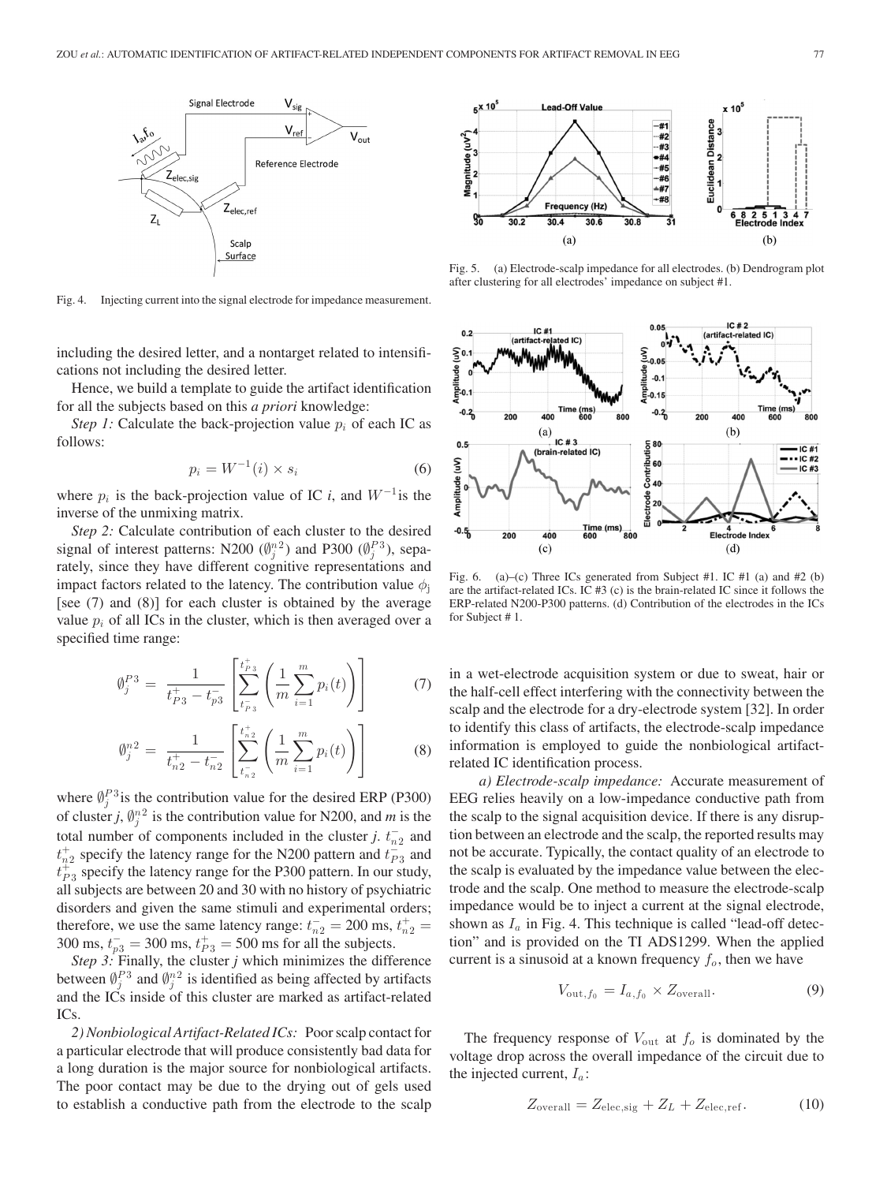

Fig. 4. Injecting current into the signal electrode for impedance measurement.

including the desired letter, and a nontarget related to intensifications not including the desired letter.

Hence, we build a template to guide the artifact identification for all the subjects based on this *a priori* knowledge:

*Step 1:* Calculate the back-projection value  $p_i$  of each IC as follows:

$$
p_i = W^{-1}(i) \times s_i \tag{6}
$$

where  $p_i$  is the back-projection value of IC *i*, and  $W^{-1}$  is the inverse of the unmixing matrix.

*Step 2:* Calculate contribution of each cluster to the desired signal of interest patterns: N200  $(\emptyset_j^{n^2})$  and P300  $(\emptyset_j^{P_3})$ , separately, since they have different cognitive representations and impact factors related to the latency. The contribution value  $\phi_i$ [see (7) and (8)] for each cluster is obtained by the average value  $p_i$  of all ICs in the cluster, which is then averaged over a specified time range:

$$
\emptyset_j^{P3} = \frac{1}{t_{P3}^+ - t_{P3}^-} \left[ \sum_{t_{P3}^-}^{t_{P3}^+} \left( \frac{1}{m} \sum_{i=1}^m p_i(t) \right) \right]
$$
(7)

$$
\emptyset_j^{n2} = \frac{1}{t_{n2}^+ - t_{n2}^-} \left[ \sum_{t_{n2}^-}^{t_{n2}^+} \left( \frac{1}{m} \sum_{i=1}^m p_i(t) \right) \right]
$$
(8)

where  $\oint_j^{P_3}$  is the contribution value for the desired ERP (P300) of cluster *j*,  $\varnothing_j^n{}^2$  is the contribution value for N200, and *m* is the total number of components included in the cluster *j*.  $t_{n2}^-$  and  $t_{n2}^+$  specify the latency range for the N200 pattern and  $t_{P3}^-$  and  $t_{P3}^{\ddagger}$  specify the latency range for the P300 pattern. In our study, all subjects are between 20 and 30 with no history of psychiatric disorders and given the same stimuli and experimental orders; therefore, we use the same latency range:  $t_{n2}^-$  = 200 ms,  $t_{n2}^+$  = 300 ms,  $t_{p3}^-$  = 300 ms,  $t_{p3}^+$  = 500 ms for all the subjects.

*Step 3:* Finally, the cluster *j* which minimizes the difference between  $\emptyset_j^{P3}$  and  $\emptyset_j^{n2}$  is identified as being affected by artifacts and the ICs inside of this cluster are marked as artifact-related ICs.

*2) Nonbiological Artifact-Related ICs:* Poor scalp contact for a particular electrode that will produce consistently bad data for a long duration is the major source for nonbiological artifacts. The poor contact may be due to the drying out of gels used to establish a conductive path from the electrode to the scalp



Fig. 5. (a) Electrode-scalp impedance for all electrodes. (b) Dendrogram plot after clustering for all electrodes' impedance on subject #1.



Fig. 6. (a)–(c) Three ICs generated from Subject #1. IC #1 (a) and #2 (b) are the artifact-related ICs. IC #3 (c) is the brain-related IC since it follows the ERP-related N200-P300 patterns. (d) Contribution of the electrodes in the ICs for Subject # 1.

in a wet-electrode acquisition system or due to sweat, hair or the half-cell effect interfering with the connectivity between the scalp and the electrode for a dry-electrode system [32]. In order to identify this class of artifacts, the electrode-scalp impedance information is employed to guide the nonbiological artifactrelated IC identification process.

*a) Electrode-scalp impedance:* Accurate measurement of EEG relies heavily on a low-impedance conductive path from the scalp to the signal acquisition device. If there is any disruption between an electrode and the scalp, the reported results may not be accurate. Typically, the contact quality of an electrode to the scalp is evaluated by the impedance value between the electrode and the scalp. One method to measure the electrode-scalp impedance would be to inject a current at the signal electrode, shown as  $I_a$  in Fig. 4. This technique is called "lead-off detection" and is provided on the TI ADS1299. When the applied current is a sinusoid at a known frequency  $f<sub>o</sub>$ , then we have

$$
V_{\text{out},f_0} = I_{a,f_0} \times Z_{\text{overall}}.\tag{9}
$$

The frequency response of  $V_{\text{out}}$  at  $f_o$  is dominated by the voltage drop across the overall impedance of the circuit due to the injected current,  $I_a$ :

$$
Z_{\text{overall}} = Z_{\text{elec,sig}} + Z_L + Z_{\text{elec,ref}}.\tag{10}
$$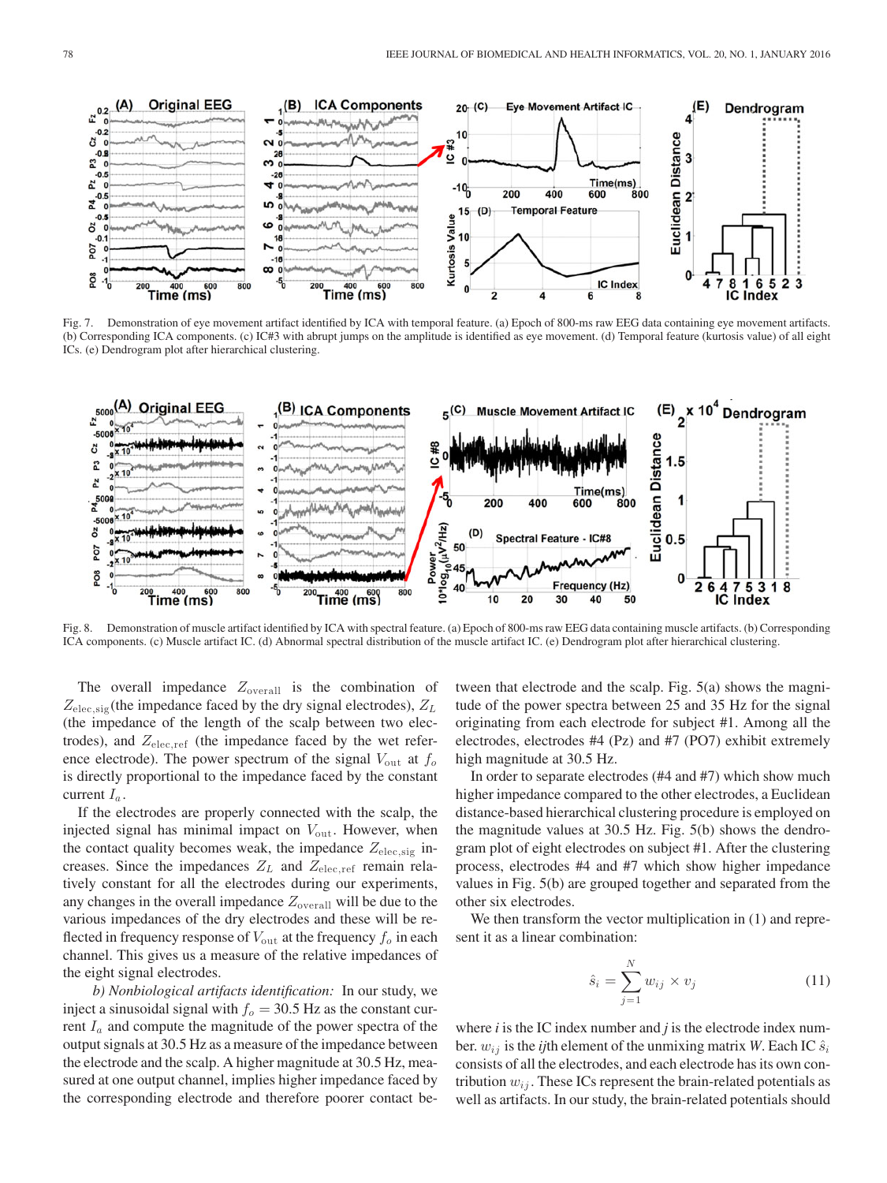

Fig. 7. Demonstration of eye movement artifact identified by ICA with temporal feature. (a) Epoch of 800-ms raw EEG data containing eye movement artifacts. (b) Corresponding ICA components. (c) IC#3 with abrupt jumps on the amplitude is identified as eye movement. (d) Temporal feature (kurtosis value) of all eight ICs. (e) Dendrogram plot after hierarchical clustering.



Fig. 8. Demonstration of muscle artifact identified by ICA with spectral feature. (a) Epoch of 800-ms raw EEG data containing muscle artifacts. (b) Corresponding ICA components. (c) Muscle artifact IC. (d) Abnormal spectral distribution of the muscle artifact IC. (e) Dendrogram plot after hierarchical clustering.

The overall impedance  $Z_{\text{overall}}$  is the combination of  $Z_{\text{elec,sig}}$ (the impedance faced by the dry signal electrodes),  $Z_L$ (the impedance of the length of the scalp between two electrodes), and  $Z_{\text{elec,ref}}$  (the impedance faced by the wet reference electrode). The power spectrum of the signal  $V_{\text{out}}$  at  $f_o$ is directly proportional to the impedance faced by the constant current  $I_a$ .

If the electrodes are properly connected with the scalp, the injected signal has minimal impact on  $V_{\text{out}}$ . However, when the contact quality becomes weak, the impedance  $Z_{elec,sig}$  increases. Since the impedances  $Z_L$  and  $Z_{\text{elec,ref}}$  remain relatively constant for all the electrodes during our experiments, any changes in the overall impedance  $Z_{\text{overall}}$  will be due to the various impedances of the dry electrodes and these will be reflected in frequency response of  $V_{\text{out}}$  at the frequency  $f_o$  in each channel. This gives us a measure of the relative impedances of the eight signal electrodes.

*b) Nonbiological artifacts identification:* In our study, we inject a sinusoidal signal with  $f<sub>o</sub> = 30.5$  Hz as the constant current  $I_a$  and compute the magnitude of the power spectra of the output signals at 30.5 Hz as a measure of the impedance between the electrode and the scalp. A higher magnitude at 30.5 Hz, measured at one output channel, implies higher impedance faced by the corresponding electrode and therefore poorer contact between that electrode and the scalp. Fig. 5(a) shows the magnitude of the power spectra between 25 and 35 Hz for the signal originating from each electrode for subject #1. Among all the electrodes, electrodes #4 (Pz) and #7 (PO7) exhibit extremely high magnitude at 30.5 Hz.

In order to separate electrodes (#4 and #7) which show much higher impedance compared to the other electrodes, a Euclidean distance-based hierarchical clustering procedure is employed on the magnitude values at 30.5 Hz. Fig. 5(b) shows the dendrogram plot of eight electrodes on subject #1. After the clustering process, electrodes #4 and #7 which show higher impedance values in Fig. 5(b) are grouped together and separated from the other six electrodes.

We then transform the vector multiplication in  $(1)$  and represent it as a linear combination:

$$
\hat{s}_i = \sum_{j=1}^N w_{ij} \times v_j \tag{11}
$$

where *i* is the IC index number and *j* is the electrode index number.  $w_{ij}$  is the *ij*th element of the unmixing matrix *W*. Each IC  $\hat{s}_i$ consists of all the electrodes, and each electrode has its own contribution  $w_{ij}$ . These ICs represent the brain-related potentials as well as artifacts. In our study, the brain-related potentials should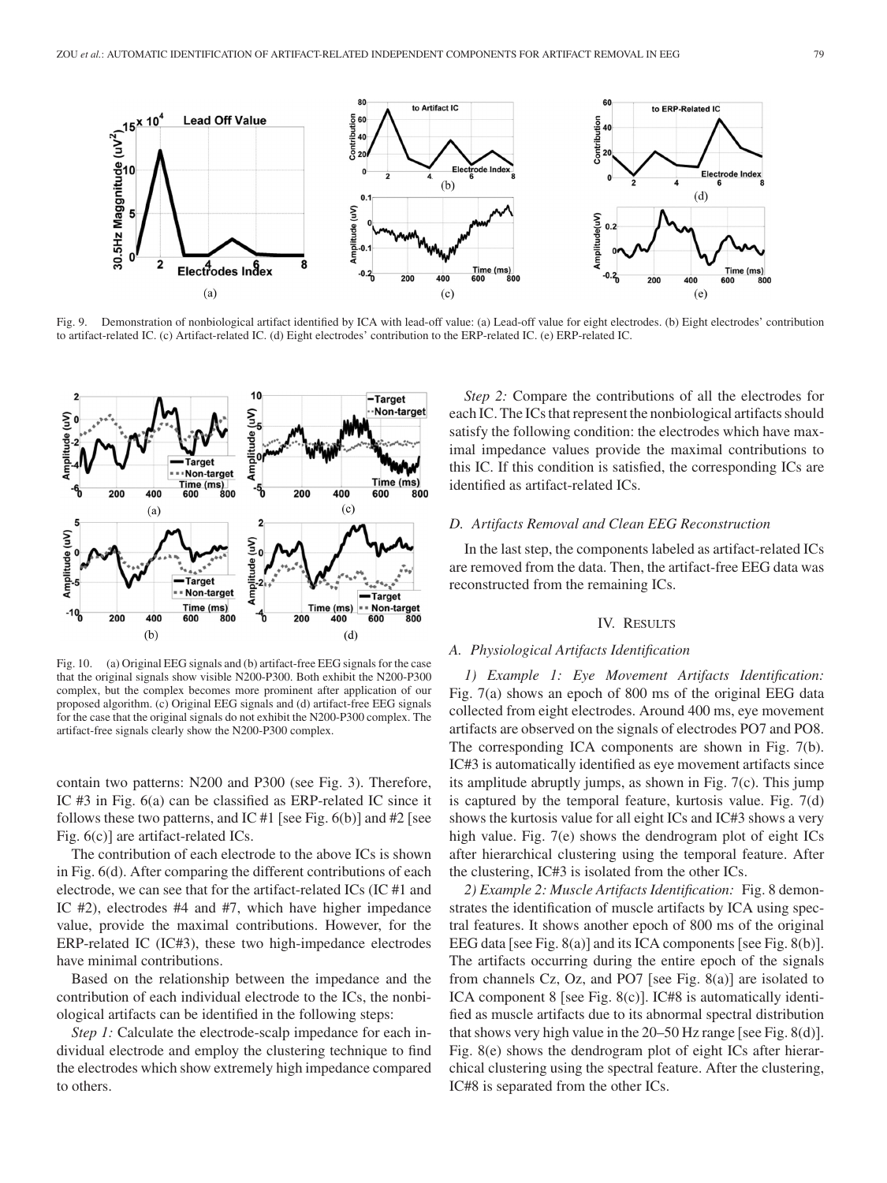

Fig. 9. Demonstration of nonbiological artifact identified by ICA with lead-off value: (a) Lead-off value for eight electrodes. (b) Eight electrodes' contribution to artifact-related IC. (c) Artifact-related IC. (d) Eight electrodes' contribution to the ERP-related IC. (e) ERP-related IC.



Fig. 10. (a) Original EEG signals and (b) artifact-free EEG signals for the case that the original signals show visible N200-P300. Both exhibit the N200-P300 complex, but the complex becomes more prominent after application of our proposed algorithm. (c) Original EEG signals and (d) artifact-free EEG signals for the case that the original signals do not exhibit the N200-P300 complex. The artifact-free signals clearly show the N200-P300 complex.

contain two patterns: N200 and P300 (see Fig. 3). Therefore, IC #3 in Fig. 6(a) can be classified as ERP-related IC since it follows these two patterns, and IC #1 [see Fig.  $6(b)$ ] and #2 [see Fig. 6(c)] are artifact-related ICs.

The contribution of each electrode to the above ICs is shown in Fig. 6(d). After comparing the different contributions of each electrode, we can see that for the artifact-related ICs (IC #1 and IC #2), electrodes #4 and #7, which have higher impedance value, provide the maximal contributions. However, for the ERP-related IC (IC#3), these two high-impedance electrodes have minimal contributions.

Based on the relationship between the impedance and the contribution of each individual electrode to the ICs, the nonbiological artifacts can be identified in the following steps:

*Step 1:* Calculate the electrode-scalp impedance for each individual electrode and employ the clustering technique to find the electrodes which show extremely high impedance compared to others.

*Step 2:* Compare the contributions of all the electrodes for each IC. The ICs that represent the nonbiological artifacts should satisfy the following condition: the electrodes which have maximal impedance values provide the maximal contributions to this IC. If this condition is satisfied, the corresponding ICs are identified as artifact-related ICs.

# *D. Artifacts Removal and Clean EEG Reconstruction*

In the last step, the components labeled as artifact-related ICs are removed from the data. Then, the artifact-free EEG data was reconstructed from the remaining ICs.

## IV. RESULTS

## *A. Physiological Artifacts Identification*

*1) Example 1: Eye Movement Artifacts Identification:* Fig. 7(a) shows an epoch of 800 ms of the original EEG data collected from eight electrodes. Around 400 ms, eye movement artifacts are observed on the signals of electrodes PO7 and PO8. The corresponding ICA components are shown in Fig. 7(b). IC#3 is automatically identified as eye movement artifacts since its amplitude abruptly jumps, as shown in Fig. 7(c). This jump is captured by the temporal feature, kurtosis value. Fig. 7(d) shows the kurtosis value for all eight ICs and IC#3 shows a very high value. Fig. 7(e) shows the dendrogram plot of eight ICs after hierarchical clustering using the temporal feature. After the clustering, IC#3 is isolated from the other ICs.

*2) Example 2: Muscle Artifacts Identification:* Fig. 8 demonstrates the identification of muscle artifacts by ICA using spectral features. It shows another epoch of 800 ms of the original EEG data [see Fig. 8(a)] and its ICA components [see Fig. 8(b)]. The artifacts occurring during the entire epoch of the signals from channels Cz, Oz, and PO7 [see Fig. 8(a)] are isolated to ICA component 8 [see Fig. 8(c)]. IC#8 is automatically identified as muscle artifacts due to its abnormal spectral distribution that shows very high value in the 20–50 Hz range [see Fig. 8(d)]. Fig. 8(e) shows the dendrogram plot of eight ICs after hierarchical clustering using the spectral feature. After the clustering, IC#8 is separated from the other ICs.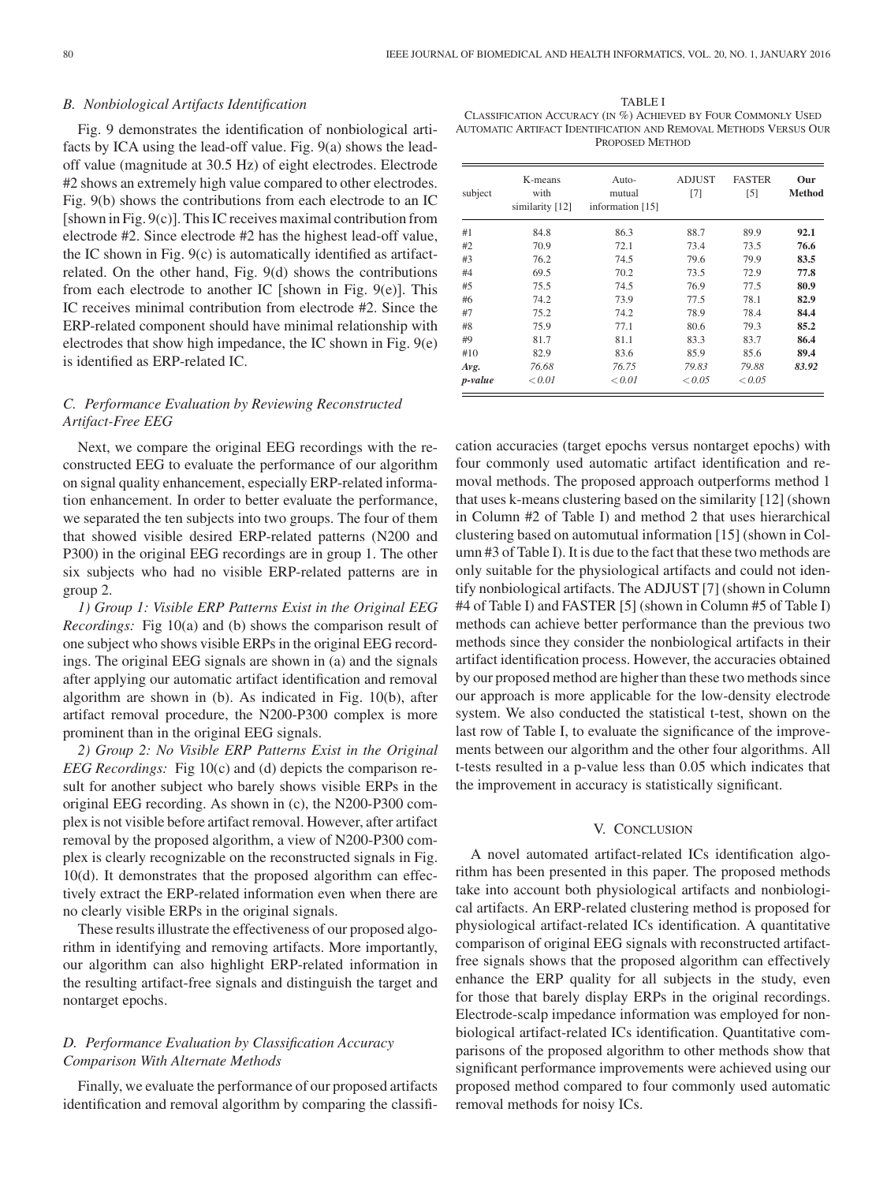## *B. Nonbiological Artifacts Identification*

Fig. 9 demonstrates the identification of nonbiological artifacts by ICA using the lead-off value. Fig. 9(a) shows the leadoff value (magnitude at 30.5 Hz) of eight electrodes. Electrode #2 shows an extremely high value compared to other electrodes. Fig. 9(b) shows the contributions from each electrode to an IC [shown in Fig. 9(c)]. This IC receives maximal contribution from electrode #2. Since electrode #2 has the highest lead-off value, the IC shown in Fig. 9(c) is automatically identified as artifactrelated. On the other hand, Fig. 9(d) shows the contributions from each electrode to another IC [shown in Fig. 9(e)]. This IC receives minimal contribution from electrode #2. Since the ERP-related component should have minimal relationship with electrodes that show high impedance, the IC shown in Fig. 9(e) is identified as ERP-related IC.

# *C. Performance Evaluation by Reviewing Reconstructed Artifact-Free EEG*

Next, we compare the original EEG recordings with the reconstructed EEG to evaluate the performance of our algorithm on signal quality enhancement, especially ERP-related information enhancement. In order to better evaluate the performance, we separated the ten subjects into two groups. The four of them that showed visible desired ERP-related patterns (N200 and P300) in the original EEG recordings are in group 1. The other six subjects who had no visible ERP-related patterns are in group 2.

*1) Group 1: Visible ERP Patterns Exist in the Original EEG Recordings:* Fig 10(a) and (b) shows the comparison result of one subject who shows visible ERPs in the original EEG recordings. The original EEG signals are shown in (a) and the signals after applying our automatic artifact identification and removal algorithm are shown in (b). As indicated in Fig. 10(b), after artifact removal procedure, the N200-P300 complex is more prominent than in the original EEG signals.

*2) Group 2: No Visible ERP Patterns Exist in the Original EEG Recordings:* Fig 10(c) and (d) depicts the comparison result for another subject who barely shows visible ERPs in the original EEG recording. As shown in (c), the N200-P300 complex is not visible before artifact removal. However, after artifact removal by the proposed algorithm, a view of N200-P300 complex is clearly recognizable on the reconstructed signals in Fig. 10(d). It demonstrates that the proposed algorithm can effectively extract the ERP-related information even when there are no clearly visible ERPs in the original signals.

These results illustrate the effectiveness of our proposed algorithm in identifying and removing artifacts. More importantly, our algorithm can also highlight ERP-related information in the resulting artifact-free signals and distinguish the target and nontarget epochs.

# *D. Performance Evaluation by Classification Accuracy Comparison With Alternate Methods*

Finally, we evaluate the performance of our proposed artifacts identification and removal algorithm by comparing the classifi-

TABLE I CLASSIFICATION ACCURACY (IN %) ACHIEVED BY FOUR COMMONLY USED AUTOMATIC ARTIFACT IDENTIFICATION AND REMOVAL METHODS VERSUS OUR PROPOSED METHOD

| subject | K-means<br>with<br>similarity [12] | Auto-<br>mutual<br>information [15] | <b>ADJUST</b><br>$[7]$ | <b>FASTER</b><br>[5] | Our<br><b>Method</b> |
|---------|------------------------------------|-------------------------------------|------------------------|----------------------|----------------------|
| #1      | 84.8                               | 86.3                                | 88.7                   | 89.9                 | 92.1                 |
| #2      | 70.9                               | 72.1                                | 73.4                   | 73.5                 | 76.6                 |
| #3      | 76.2                               | 74.5                                | 79.6                   | 79.9                 | 83.5                 |
| #4      | 69.5                               | 70.2                                | 73.5                   | 72.9                 | 77.8                 |
| #5      | 75.5                               | 74.5                                | 76.9                   | 77.5                 | 80.9                 |
| #6      | 74.2                               | 73.9                                | 77.5                   | 78.1                 | 82.9                 |
| #7      | 75.2                               | 74.2                                | 78.9                   | 78.4                 | 84.4                 |
| #8      | 75.9                               | 77.1                                | 80.6                   | 79.3                 | 85.2                 |
| #9      | 81.7                               | 81.1                                | 83.3                   | 83.7                 | 86.4                 |
| #10     | 82.9                               | 83.6                                | 85.9                   | 85.6                 | 89.4                 |
| Avg.    | 76.68                              | 76.75                               | 79.83                  | 79.88                | 83.92                |
| p-value | ${}_{0.01}$                        | ${}_{0.01}$                         | < 0.05                 | < 0.05               |                      |

cation accuracies (target epochs versus nontarget epochs) with four commonly used automatic artifact identification and removal methods. The proposed approach outperforms method 1 that uses k-means clustering based on the similarity [12] (shown in Column #2 of Table I) and method 2 that uses hierarchical clustering based on automutual information [15] (shown in Column #3 of Table I). It is due to the fact that these two methods are only suitable for the physiological artifacts and could not identify nonbiological artifacts. The ADJUST [7] (shown in Column #4 of Table I) and FASTER [5] (shown in Column #5 of Table I) methods can achieve better performance than the previous two methods since they consider the nonbiological artifacts in their artifact identification process. However, the accuracies obtained by our proposed method are higher than these two methods since our approach is more applicable for the low-density electrode system. We also conducted the statistical t-test, shown on the last row of Table I, to evaluate the significance of the improvements between our algorithm and the other four algorithms. All t-tests resulted in a p-value less than 0.05 which indicates that the improvement in accuracy is statistically significant.

# V. CONCLUSION

A novel automated artifact-related ICs identification algorithm has been presented in this paper. The proposed methods take into account both physiological artifacts and nonbiological artifacts. An ERP-related clustering method is proposed for physiological artifact-related ICs identification. A quantitative comparison of original EEG signals with reconstructed artifactfree signals shows that the proposed algorithm can effectively enhance the ERP quality for all subjects in the study, even for those that barely display ERPs in the original recordings. Electrode-scalp impedance information was employed for nonbiological artifact-related ICs identification. Quantitative comparisons of the proposed algorithm to other methods show that significant performance improvements were achieved using our proposed method compared to four commonly used automatic removal methods for noisy ICs.